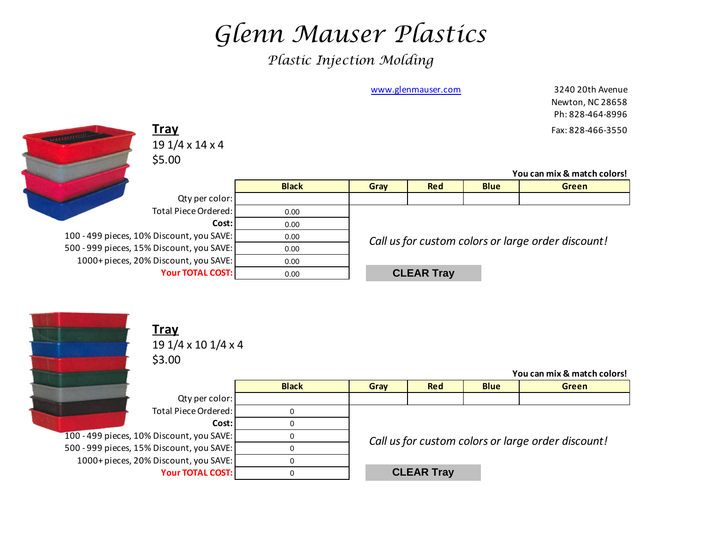## *Glenn Mauser Plastics*

*Plastic Injection Molding*

|                                           |              |      | www.glenmauser.com |             | 3240 20th Avenue<br>Newton, NC 28658<br>Ph: 828-464-8996 |
|-------------------------------------------|--------------|------|--------------------|-------------|----------------------------------------------------------|
| <u>Tray</u>                               |              |      |                    |             | Fax: 828-466-3550                                        |
| $191/4 \times 14 \times 4$                |              |      |                    |             |                                                          |
| \$5.00                                    |              |      |                    |             |                                                          |
|                                           |              |      |                    |             | You can mix & match colors!                              |
|                                           | <b>Black</b> | Gray | <b>Red</b>         | <b>Blue</b> | <b>Green</b>                                             |
| Qty per color:                            |              |      |                    |             |                                                          |
| Total Piece Ordered:                      | 0.00         |      |                    |             |                                                          |
| Cost:                                     | 0.00         |      |                    |             |                                                          |
| 100 - 499 pieces, 10% Discount, you SAVE: | 0.00         |      |                    |             | Call us for custom colors or large order discount!       |
| 500 - 999 pieces, 15% Discount, you SAVE: | 0.00         |      |                    |             |                                                          |
| 1000+ pieces, 20% Discount, you SAVE:     | 0.00         |      |                    |             |                                                          |
| <b>Your TOTAL COST:</b>                   | 0.00         |      | <b>CLEAR Tray</b>  |             |                                                          |
|                                           |              |      |                    |             |                                                          |



**Tray** 19 1/4 x 10 1/4 x 4 \$3.00

**You can mix & match colors!**

|                                           | <b>Black</b> | Gray                                               | <b>Red</b>        | <b>Blue</b> | <b>Green</b> |  |  |  |
|-------------------------------------------|--------------|----------------------------------------------------|-------------------|-------------|--------------|--|--|--|
| Qty per color:                            |              |                                                    |                   |             |              |  |  |  |
| Total Piece Ordered:                      |              |                                                    |                   |             |              |  |  |  |
| Cost:                                     |              |                                                    |                   |             |              |  |  |  |
| 100 - 499 pieces, 10% Discount, you SAVE: |              | Call us for custom colors or large order discount! |                   |             |              |  |  |  |
| 500 - 999 pieces, 15% Discount, you SAVE: |              |                                                    |                   |             |              |  |  |  |
| 1000+ pieces, 20% Discount, you SAVE:     |              |                                                    |                   |             |              |  |  |  |
| <b>Your TOTAL COST:</b>                   |              |                                                    | <b>CLEAR Tray</b> |             |              |  |  |  |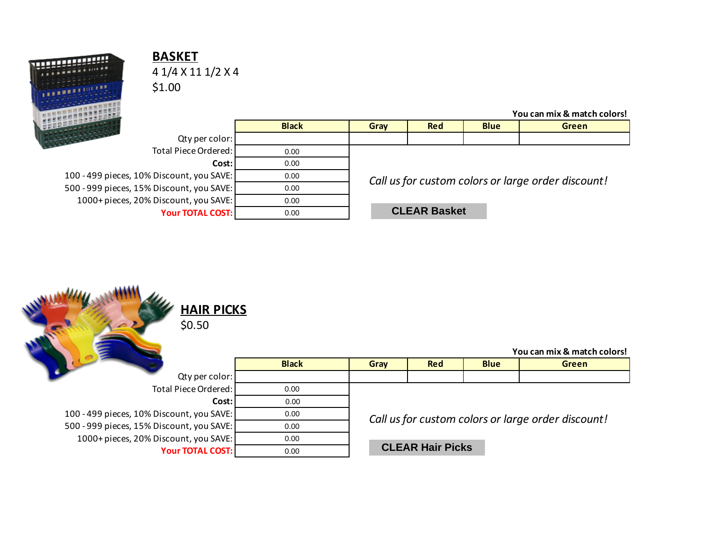

## **BASKET** 4 1/4 X 11 1/2 X 4 \$1.00

|                                           |              |                                                    |                     |             | You can mix & match colors! |  |  |
|-------------------------------------------|--------------|----------------------------------------------------|---------------------|-------------|-----------------------------|--|--|
|                                           | <b>Black</b> | Gray                                               | <b>Red</b>          | <b>Blue</b> | <b>Green</b>                |  |  |
| <b>SULLER</b><br>Qty per color:           |              |                                                    |                     |             |                             |  |  |
| Total Piece Ordered:                      | 0.00         |                                                    |                     |             |                             |  |  |
| Cost: I                                   | 0.00         |                                                    |                     |             |                             |  |  |
| 100 - 499 pieces, 10% Discount, you SAVE: | 0.00         | Call us for custom colors or large order discount! |                     |             |                             |  |  |
| 500 - 999 pieces, 15% Discount, you SAVE: | 0.00         |                                                    |                     |             |                             |  |  |
| 1000+ pieces, 20% Discount, you SAVE:     | 0.00         |                                                    |                     |             |                             |  |  |
| <b>Your TOTAL COST:</b>                   | 0.00         |                                                    | <b>CLEAR Basket</b> |             |                             |  |  |

| <b>HAIR PICKS</b><br>\$0.50               |              |                                                    |                         |             | You can mix & match colors! |  |  |
|-------------------------------------------|--------------|----------------------------------------------------|-------------------------|-------------|-----------------------------|--|--|
|                                           | <b>Black</b> | Gray                                               | <b>Red</b>              | <b>Blue</b> | <b>Green</b>                |  |  |
| Qty per color:                            |              |                                                    |                         |             |                             |  |  |
| <b>Total Piece Ordered:</b>               | 0.00         |                                                    |                         |             |                             |  |  |
| Cost:                                     | 0.00         |                                                    |                         |             |                             |  |  |
| 100 - 499 pieces, 10% Discount, you SAVE: | 0.00         | Call us for custom colors or large order discount! |                         |             |                             |  |  |
| 500 - 999 pieces, 15% Discount, you SAVE: | 0.00         |                                                    |                         |             |                             |  |  |
| 1000+ pieces, 20% Discount, you SAVE:     | 0.00         |                                                    |                         |             |                             |  |  |
| <b>Your TOTAL COST:</b>                   | 0.00         |                                                    | <b>CLEAR Hair Picks</b> |             |                             |  |  |